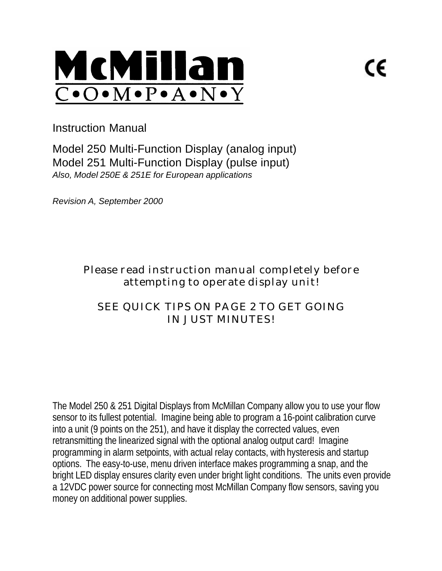

Instruction Manual

Model 250 Multi-Function Display (analog input) Model 251 Multi-Function Display (pulse input) *Also, Model 250E & 251E for European applications*

*Revision A, September 2000*

Please read instruction manual completely before attempting to operate display unit!

# SEE *QUICK TIPS* ON PAGE 2 TO GET GOING IN JUST MINUTES!

The Model 250 & 251 Digital Displays from McMillan Company allow you to use your flow sensor to its fullest potential. Imagine being able to program a 16-point calibration curve into a unit (9 points on the 251), and have it display the corrected values, even retransmitting the linearized signal with the optional analog output card! Imagine programming in alarm setpoints, with actual relay contacts, with hysteresis and startup options. The easy-to-use, menu driven interface makes programming a snap, and the bright LED display ensures clarity even under bright light conditions. The units even provide a 12VDC power source for connecting most McMillan Company flow sensors, saving you money on additional power supplies.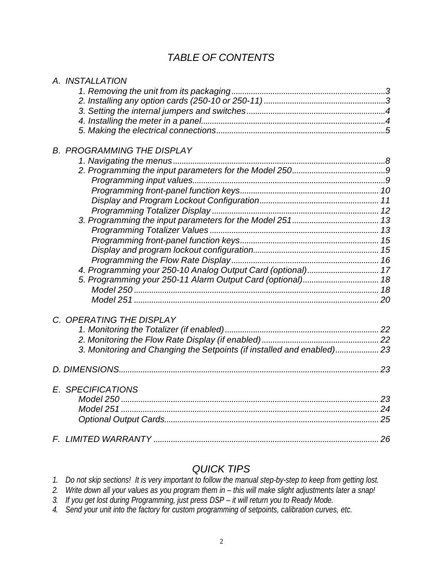# *TABLE OF CONTENTS*

| A. INSTALLATION                                                        |  |
|------------------------------------------------------------------------|--|
|                                                                        |  |
|                                                                        |  |
|                                                                        |  |
|                                                                        |  |
|                                                                        |  |
|                                                                        |  |
| <b>B. PROGRAMMING THE DISPLAY</b>                                      |  |
|                                                                        |  |
|                                                                        |  |
|                                                                        |  |
|                                                                        |  |
|                                                                        |  |
|                                                                        |  |
|                                                                        |  |
|                                                                        |  |
|                                                                        |  |
|                                                                        |  |
|                                                                        |  |
|                                                                        |  |
|                                                                        |  |
|                                                                        |  |
|                                                                        |  |
|                                                                        |  |
| C. OPERATING THE DISPLAY                                               |  |
|                                                                        |  |
|                                                                        |  |
| 3. Monitoring and Changing the Setpoints (if installed and enabled) 23 |  |
|                                                                        |  |
|                                                                        |  |
| E. SPECIFICATIONS                                                      |  |
|                                                                        |  |
|                                                                        |  |
|                                                                        |  |
|                                                                        |  |
|                                                                        |  |
|                                                                        |  |

# *QUICK TIPS*

*1. Do not skip sections! It is very important to follow the manual step-by-step to keep from getting lost.*

- *2. Write down all your values as you program them in this will make slight adjustments later a snap!*
- *3. If you get lost during Programming, just press DSP it will return you to Ready Mode.*
- *4. Send your unit into the factory for custom programming of setpoints, calibration curves, etc.*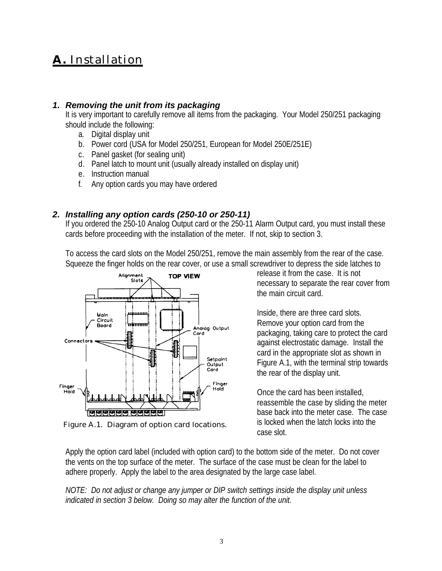# **A.** Installation

# *1. Removing the unit from its packaging*

It is very important to carefully remove all items from the packaging. Your Model 250/251 packaging should include the following:

- a. Digital display unit
- b. Power cord (USA for Model 250/251, European for Model 250E/251E)
- c. Panel gasket (for sealing unit)
- d. Panel latch to mount unit (usually already installed on display unit)
- e. Instruction manual
- f. Any option cards you may have ordered

# *2. Installing any option cards (250-10 or 250-11)*

If you ordered the 250-10 Analog Output card or the 250-11 Alarm Output card, you must install these cards before proceeding with the installation of the meter. If not, skip to section 3.

To access the card slots on the Model 250/251, remove the main assembly from the rear of the case. Squeeze the finger holds on the rear cover, or use a small screwdriver to depress the side latches to



Figure A.1. Diagram of option card locations.

release it from the case. It is not necessary to separate the rear cover from the main circuit card.

Inside, there are three card slots. Remove your option card from the packaging, taking care to protect the card against electrostatic damage. Install the card in the appropriate slot as shown in Figure A.1, with the terminal strip towards the rear of the display unit.

Once the card has been installed, reassemble the case by sliding the meter base back into the meter case. The case is locked when the latch locks into the case slot.

Apply the option card label (included with option card) to the bottom side of the meter. Do not cover the vents on the top surface of the meter. The surface of the case must be clean for the label to adhere properly. Apply the label to the area designated by the large case label.

*NOTE: Do not adjust or change any jumper or DIP switch settings inside the display unit unless indicated in section 3 below. Doing so may alter the function of the unit*.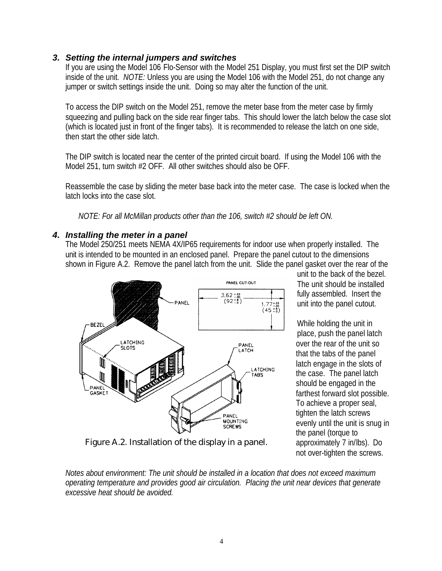### *3. Setting the internal jumpers and switches*

If you are using the Model 106 Flo-Sensor with the Model 251 Display, you must first set the DIP switch inside of the unit. *NOTE:* Unless you are using the Model 106 with the Model 251, do not change any jumper or switch settings inside the unit. Doing so may alter the function of the unit.

To access the DIP switch on the Model 251, remove the meter base from the meter case by firmly squeezing and pulling back on the side rear finger tabs. This should lower the latch below the case slot (which is located just in front of the finger tabs). It is recommended to release the latch on one side, then start the other side latch.

The DIP switch is located near the center of the printed circuit board. If using the Model 106 with the Model 251, turn switch #2 OFF. All other switches should also be OFF.

Reassemble the case by sliding the meter base back into the meter case. The case is locked when the latch locks into the case slot.

*NOTE: For all McMillan products other than the 106, switch #2 should be left ON.*

# *4. Installing the meter in a panel*

The Model 250/251 meets NEMA 4X/IP65 requirements for indoor use when properly installed. The unit is intended to be mounted in an enclosed panel. Prepare the panel cutout to the dimensions shown in Figure A.2. Remove the panel latch from the unit. Slide the panel gasket over the rear of the



Figure A.2. Installation of the display in a panel.

unit to the back of the bezel. The unit should be installed fully assembled. Insert the unit into the panel cutout.

While holding the unit in place, push the panel latch over the rear of the unit so that the tabs of the panel latch engage in the slots of the case. The panel latch should be engaged in the farthest forward slot possible. To achieve a proper seal, tighten the latch screws evenly until the unit is snug in the panel (torque to approximately 7 in/lbs). Do not over-tighten the screws.

*Notes about environment: The unit should be installed in a location that does not exceed maximum operating temperature and provides good air circulation. Placing the unit near devices that generate excessive heat should be avoided.*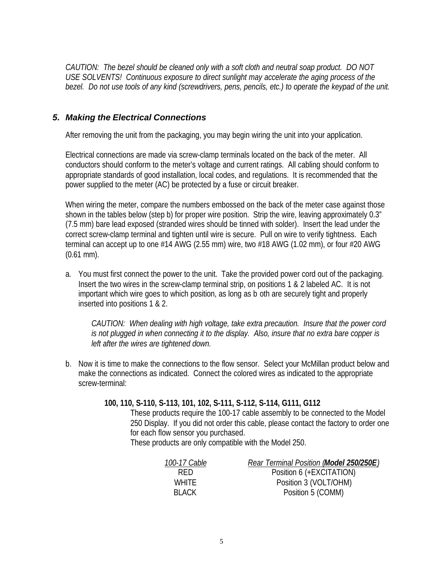*CAUTION: The bezel should be cleaned only with a soft cloth and neutral soap product. DO NOT USE SOLVENTS! Continuous exposure to direct sunlight may accelerate the aging process of the bezel. Do not use tools of any kind (screwdrivers, pens, pencils, etc.) to operate the keypad of the unit.*

# *5. Making the Electrical Connections*

After removing the unit from the packaging, you may begin wiring the unit into your application.

Electrical connections are made via screw-clamp terminals located on the back of the meter. All conductors should conform to the meter's voltage and current ratings. All cabling should conform to appropriate standards of good installation, local codes, and regulations. It is recommended that the power supplied to the meter (AC) be protected by a fuse or circuit breaker.

When wiring the meter, compare the numbers embossed on the back of the meter case against those shown in the tables below (step b) for proper wire position. Strip the wire, leaving approximately 0.3" (7.5 mm) bare lead exposed (stranded wires should be tinned with solder). Insert the lead under the correct screw-clamp terminal and tighten until wire is secure. Pull on wire to verify tightness. Each terminal can accept up to one #14 AWG (2.55 mm) wire, two #18 AWG (1.02 mm), or four #20 AWG (0.61 mm).

a. You must first connect the power to the unit. Take the provided power cord out of the packaging. Insert the two wires in the screw-clamp terminal strip, on positions 1 & 2 labeled AC. It is not important which wire goes to which position, as long as b oth are securely tight and properly inserted into positions 1 & 2.

*CAUTION: When dealing with high voltage, take extra precaution. Insure that the power cord is not plugged in when connecting it to the display. Also, insure that no extra bare copper is left after the wires are tightened down.*

b. Now it is time to make the connections to the flow sensor. Select your McMillan product below and make the connections as indicated. Connect the colored wires as indicated to the appropriate screw-terminal:

### **100, 110, S-110, S-113, 101, 102, S-111, S-112, S-114, G111, G112**

These products require the 100-17 cable assembly to be connected to the Model 250 Display. If you did not order this cable, please contact the factory to order one for each flow sensor you purchased.

These products are only compatible with the Model 250.

| 100-17 Cable | Rear Terminal Position (Model 250/250E) |
|--------------|-----------------------------------------|
| RED.         | Position 6 (+EXCITATION)                |
| <b>WHITE</b> | Position 3 (VOLT/OHM)                   |
| BI ACK       | Position 5 (COMM)                       |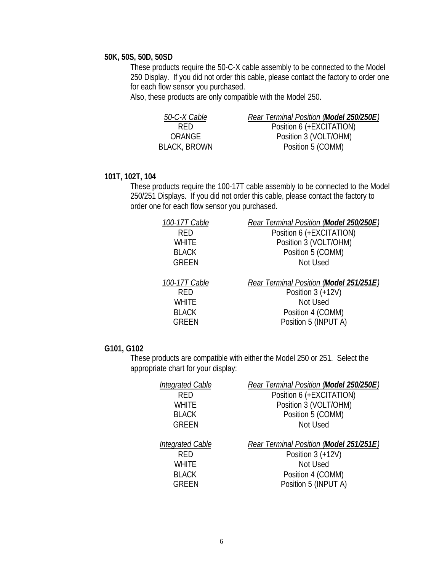#### **50K, 50S, 50D, 50SD**

These products require the 50-C-X cable assembly to be connected to the Model 250 Display. If you did not order this cable, please contact the factory to order one for each flow sensor you purchased.

Also, these products are only compatible with the Model 250.

| 50-C-X Cable | Rear Terminal Position (Model 250/250E) |
|--------------|-----------------------------------------|
| RED.         | Position 6 (+EXCITATION)                |
| ORANGE       | Position 3 (VOLT/OHM)                   |
| BLACK, BROWN | Position 5 (COMM)                       |

### **101T, 102T, 104**

These products require the 100-17T cable assembly to be connected to the Model 250/251 Displays. If you did not order this cable, please contact the factory to order one for each flow sensor you purchased.

| 100-17T Cable | Rear Terminal Position (Model 250/250E) |
|---------------|-----------------------------------------|
| <b>RED</b>    | Position 6 (+EXCITATION)                |
| <b>WHITE</b>  | Position 3 (VOLT/OHM)                   |
| <b>BLACK</b>  | Position 5 (COMM)                       |
| <b>GREEN</b>  | Not Used                                |
| 100-17T Cable | Rear Terminal Position (Model 251/251E) |
| <b>RED</b>    | Position $3 (+12V)$                     |
| <b>WHITE</b>  | Not Used                                |
| <b>BLACK</b>  | Position 4 (COMM)                       |
| <b>GREEN</b>  | Position 5 (INPUT A)                    |
|               |                                         |

#### **G101, G102**

These products are compatible with either the Model 250 or 251. Select the appropriate chart for your display:

| <b>Integrated Cable</b>                                                        | Rear Terminal Position (Model 250/250E)                                                                                 |
|--------------------------------------------------------------------------------|-------------------------------------------------------------------------------------------------------------------------|
| <b>RFD</b>                                                                     | Position 6 (+EXCITATION)                                                                                                |
| <b>WHITE</b>                                                                   | Position 3 (VOLT/OHM)                                                                                                   |
| <b>BLACK</b>                                                                   | Position 5 (COMM)                                                                                                       |
| <b>GREEN</b>                                                                   | Not Used                                                                                                                |
|                                                                                |                                                                                                                         |
| <b>Integrated Cable</b><br><b>RFD</b><br>WHITE<br><b>BLACK</b><br><b>GREEN</b> | Rear Terminal Position (Model 251/251E)<br>Position $3 (+12V)$<br>Not Used<br>Position 4 (COMM)<br>Position 5 (INPUT A) |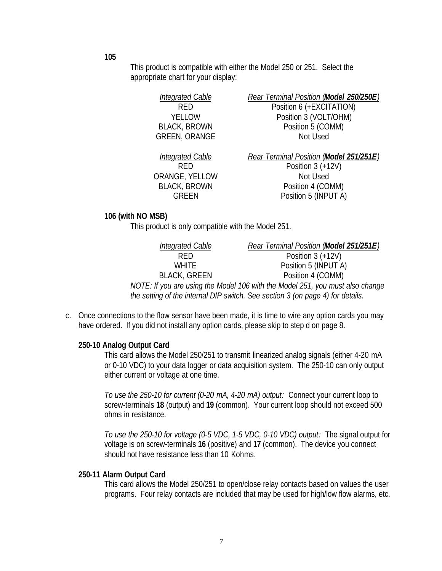**105**

This product is compatible with either the Model 250 or 251. Select the appropriate chart for your display:

> *Integrated Cable Rear Terminal Position (Model 250/250E) Integrated Cable Rear Terminal Position (Model 251/251E)* ORANGE, YELLOW Not Used

RED Position 6 (+EXCITATION) YELLOW Position 3 (VOLT/OHM) BLACK, BROWN Position 5 (COMM) GREEN, ORANGE Not Used

RED Position 3 (+12V) BLACK, BROWN Position 4 (COMM) GREEN Position 5 (INPUT A)

#### **106 (with NO MSB)**

This product is only compatible with the Model 251.

| Integrated Cable    | Rear Terminal Position (Model 251/251E)                                        |
|---------------------|--------------------------------------------------------------------------------|
| <b>RFD</b>          | Position $3 (+12V)$                                                            |
| <b>WHITE</b>        | Position 5 (INPUT A)                                                           |
| <b>BLACK, GREEN</b> | Position 4 (COMM)                                                              |
|                     | NOTE: If you are using the Model 106 with the Model 251, you must also change  |
|                     | the setting of the internal DIP switch. See section 3 (on page 4) for details. |

c. Once connections to the flow sensor have been made, it is time to wire any option cards you may have ordered. If you did not install any option cards, please skip to step d on page 8.

### **250-10 Analog Output Card**

This card allows the Model 250/251 to transmit linearized analog signals (either 4-20 mA or 0-10 VDC) to your data logger or data acquisition system. The 250-10 can only output either current or voltage at one time.

*To use the 250-10 for current (0-20 mA, 4-20 mA) output:* Connect your current loop to screw-terminals **18** (output) and **19** (common). Your current loop should not exceed 500 ohms in resistance.

*To use the 250-10 for voltage (0-5 VDC, 1-5 VDC, 0-10 VDC) output:* The signal output for voltage is on screw-terminals **16** (positive) and **17** (common). The device you connect should not have resistance less than 10 Kohms.

#### **250-11 Alarm Output Card**

This card allows the Model 250/251 to open/close relay contacts based on values the user programs. Four relay contacts are included that may be used for high/low flow alarms, etc.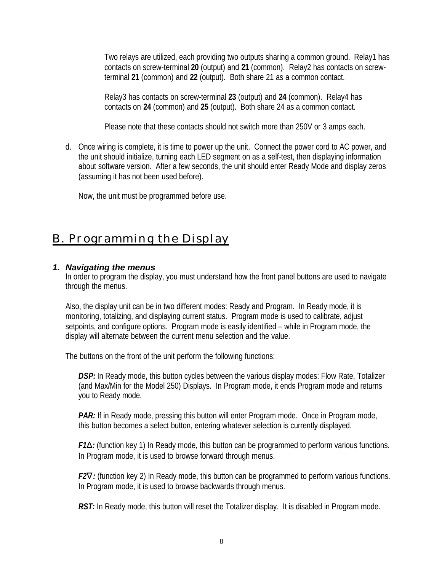Two relays are utilized, each providing two outputs sharing a common ground. Relay1 has contacts on screw-terminal **20** (output) and **21** (common). Relay2 has contacts on screwterminal **21** (common) and **22** (output). Both share 21 as a common contact.

Relay3 has contacts on screw-terminal **23** (output) and **24** (common). Relay4 has contacts on **24** (common) and **25** (output). Both share 24 as a common contact.

Please note that these contacts should not switch more than 250V or 3 amps each.

d. Once wiring is complete, it is time to power up the unit. Connect the power cord to AC power, and the unit should initialize, turning each LED segment on as a self-test, then displaying information about software version. After a few seconds, the unit should enter Ready Mode and display zeros (assuming it has not been used before).

Now, the unit must be programmed before use.

# B. Programming the Display

# *1. Navigating the menus*

In order to program the display, you must understand how the front panel buttons are used to navigate through the menus.

Also, the display unit can be in two different modes: Ready and Program. In Ready mode, it is monitoring, totalizing, and displaying current status. Program mode is used to calibrate, adjust setpoints, and configure options. Program mode is easily identified – while in Program mode, the display will alternate between the current menu selection and the value.

The buttons on the front of the unit perform the following functions:

*DSP:* In Ready mode, this button cycles between the various display modes: Flow Rate, Totalizer (and Max/Min for the Model 250) Displays. In Program mode, it ends Program mode and returns you to Ready mode.

*PAR:* If in Ready mode, pressing this button will enter Program mode. Once in Program mode, this button becomes a select button, entering whatever selection is currently displayed.

*F1D*: (function key 1) In Ready mode, this button can be programmed to perform various functions. In Program mode, it is used to browse forward through menus.

*F2Ñ:* (function key 2) In Ready mode, this button can be programmed to perform various functions. In Program mode, it is used to browse backwards through menus.

**RST:** In Ready mode, this button will reset the Totalizer display. It is disabled in Program mode.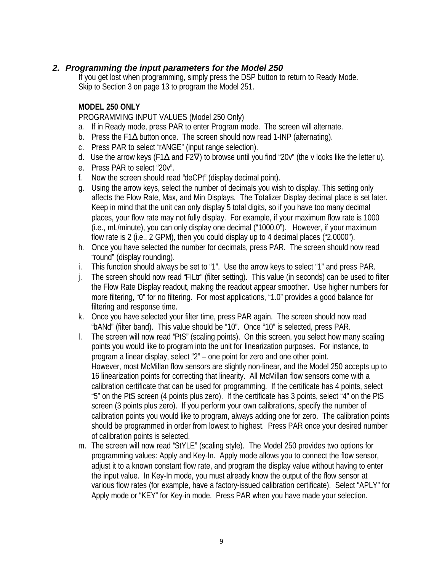# *2. Programming the input parameters for the Model 250*

If you get lost when programming, simply press the DSP button to return to Ready Mode. Skip to Section 3 on page 13 to program the Model 251.

#### **MODEL 250 ONLY**

PROGRAMMING INPUT VALUES (Model 250 Only)

- a. If in Ready mode, press PAR to enter Program mode. The screen will alternate.
- b. Press the F1Δ button once. The screen should now read 1-INP (alternating).
- c. Press PAR to select "rANGE" (input range selection).
- d. Use the arrow keys (F1 $\Delta$  and F2 $\nabla$ ) to browse until you find "20v" (the v looks like the letter u).
- e. Press PAR to select "20v".
- f. Now the screen should read "deCPt" (display decimal point).
- g. Using the arrow keys, select the number of decimals you wish to display. This setting only affects the Flow Rate, Max, and Min Displays. The Totalizer Display decimal place is set later. Keep in mind that the unit can only display 5 total digits, so if you have too many decimal places, your flow rate may not fully display. For example, if your maximum flow rate is 1000 (i.e., mL/minute), you can only display one decimal ("1000.0"). However, if your maximum flow rate is 2 (i.e., 2 GPM), then you could display up to 4 decimal places ("2.0000").
- h. Once you have selected the number for decimals, press PAR. The screen should now read "round" (display rounding).
- i. This function should always be set to "1". Use the arrow keys to select "1" and press PAR.
- j. The screen should now read "FILtr" (filter setting). This value (in seconds) can be used to filter the Flow Rate Display readout, making the readout appear smoother. Use higher numbers for more filtering, "0" for no filtering. For most applications, "1.0" provides a good balance for filtering and response time.
- k. Once you have selected your filter time, press PAR again. The screen should now read "bANd" (filter band). This value should be "10". Once "10" is selected, press PAR.
- l. The screen will now read "PtS" (scaling points). On this screen, you select how many scaling points you would like to program into the unit for linearization purposes. For instance, to program a linear display, select "2" – one point for zero and one other point. However, most McMillan flow sensors are slightly non-linear, and the Model 250 accepts up to 16 linearization points for correcting that linearity. All McMillan flow sensors come with a calibration certificate that can be used for programming. If the certificate has 4 points, select "5" on the PtS screen (4 points plus zero). If the certificate has 3 points, select "4" on the PtS screen (3 points plus zero). If you perform your own calibrations, specify the number of calibration points you would like to program, always adding one for zero. The calibration points should be programmed in order from lowest to highest. Press PAR once your desired number of calibration points is selected.
- m. The screen will now read "StYLE" (scaling style). The Model 250 provides two options for programming values: Apply and Key-In. Apply mode allows you to connect the flow sensor, adjust it to a known constant flow rate, and program the display value without having to enter the input value. In Key-In mode, you must already know the output of the flow sensor at various flow rates (for example, have a factory-issued calibration certificate). Select "APLY" for Apply mode or "KEY" for Key-in mode. Press PAR when you have made your selection.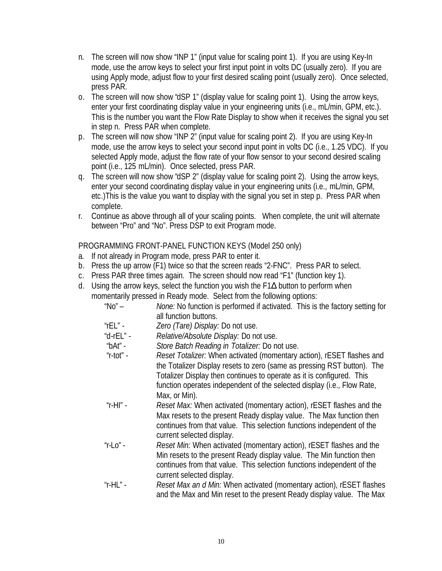- n. The screen will now show "INP 1" (input value for scaling point 1). If you are using Key-In mode, use the arrow keys to select your first input point in volts DC (usually zero). If you are using Apply mode, adjust flow to your first desired scaling point (usually zero). Once selected, press PAR.
- o. The screen will now show "dSP 1" (display value for scaling point 1). Using the arrow keys, enter your first coordinating display value in your engineering units (i.e., mL/min, GPM, etc.). This is the number you want the Flow Rate Display to show when it receives the signal you set in step n. Press PAR when complete.
- p. The screen will now show "INP 2" (input value for scaling point 2). If you are using Key-In mode, use the arrow keys to select your second input point in volts DC (i.e., 1.25 VDC). If you selected Apply mode, adjust the flow rate of your flow sensor to your second desired scaling point (i.e., 125 mL/min). Once selected, press PAR.
- q. The screen will now show "dSP 2" (display value for scaling point 2). Using the arrow keys, enter your second coordinating display value in your engineering units (i.e., mL/min, GPM, etc.)This is the value you want to display with the signal you set in step p. Press PAR when complete.
- r. Continue as above through all of your scaling points. When complete, the unit will alternate between "Pro" and "No". Press DSP to exit Program mode.

PROGRAMMING FRONT-PANEL FUNCTION KEYS (Model 250 only)

- a. If not already in Program mode, press PAR to enter it.
- b. Press the up arrow (F1) twice so that the screen reads "2-FNC". Press PAR to select.
- c. Press PAR three times again. The screen should now read "F1" (function key 1).
- d. Using the arrow keys, select the function you wish the F1Δ button to perform when momentarily pressed in Ready mode. Select from the following options:

| " $No" -$     | None: No function is performed if activated. This is the factory setting for |
|---------------|------------------------------------------------------------------------------|
|               | all function buttons.                                                        |
| "rEL" -       | Zero (Tare) Display: Do not use.                                             |
| "d-r $EL$ " - | Relative/Absolute Display: Do not use.                                       |
| "bAt" -       | Store Batch Reading in Totalizer: Do not use.                                |
| "r-tot" -     | Reset Totalizer: When activated (momentary action), rESET flashes and        |
|               | the Totalizer Display resets to zero (same as pressing RST button). The      |
|               | Totalizer Display then continues to operate as it is configured. This        |
|               | function operates independent of the selected display (i.e., Flow Rate,      |
|               |                                                                              |
|               | Max, or Min).                                                                |
| "r-HI" -      | <i>Reset Max:</i> When activated (momentary action), rESET flashes and the   |
|               | Max resets to the present Ready display value. The Max function then         |
|               | continues from that value. This selection functions independent of the       |
|               | current selected display.                                                    |
| "r- $Lo$ " -  | Reset Min: When activated (momentary action), rESET flashes and the          |
|               |                                                                              |
|               | Min resets to the present Ready display value. The Min function then         |
|               | continues from that value. This selection functions independent of the       |
|               | current selected display.                                                    |
| "r-HL" -      | Reset Max an d Min: When activated (momentary action), rESET flashes         |
|               | and the Max and Min reset to the present Ready display value. The Max        |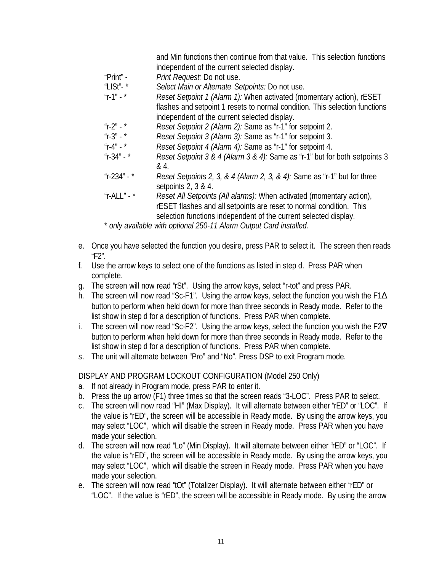|                                     | and Min functions then continue from that value. This selection functions   |
|-------------------------------------|-----------------------------------------------------------------------------|
|                                     | independent of the current selected display.                                |
| " $Print" -$                        | Print Request: Do not use.                                                  |
| "LISt"- $*$                         | Select Main or Alternate Setpoints: Do not use.                             |
| $^{\prime\prime}$ r-1" - $^{\star}$ | Reset Setpoint 1 (Alarm 1): When activated (momentary action), rESET        |
|                                     | flashes and setpoint 1 resets to normal condition. This selection functions |
|                                     | independent of the current selected display.                                |
| "r-2" - $*$                         | Reset Setpoint 2 (Alarm 2): Same as "r-1" for setpoint 2.                   |
| $^{\prime\prime}$ r-3" - $^{\star}$ | Reset Setpoint 3 (Alarm 3): Same as "r-1" for setpoint 3.                   |
| $''r-4'' -$                         | Reset Setpoint 4 (Alarm 4): Same as "r-1" for setpoint 4.                   |
| "r-34" - $*$                        | Reset Setpoint 3 & 4 (Alarm 3 & 4): Same as "r-1" but for both setpoints 3  |
|                                     | & 4.                                                                        |
| "r-234" - $*$                       | Reset Setpoints 2, 3, & 4 (Alarm 2, 3, & 4): Same as "r-1" but for three    |
|                                     | setpoints $2, 3 \& 4.$                                                      |
| "r-ALL" - $*$                       | Reset All Setpoints (All alarms): When activated (momentary action),        |
|                                     | rESET flashes and all setpoints are reset to normal condition. This         |
|                                     | selection functions independent of the current selected display.            |
|                                     | * only available with optional 250-11 Alarm Output Card installed.          |

e. Once you have selected the function you desire, press PAR to select it. The screen then reads "F2".

- f. Use the arrow keys to select one of the functions as listed in step d. Press PAR when complete.
- g. The screen will now read "rSt". Using the arrow keys, select "r-tot" and press PAR.
- h. The screen will now read "Sc-F1". Using the arrow keys, select the function you wish the F1Δ button to perform when held down for more than three seconds in Ready mode. Refer to the list show in step d for a description of functions. Press PAR when complete.
- i. The screen will now read "Sc-F2". Using the arrow keys, select the function you wish the F2 $\nabla$ button to perform when held down for more than three seconds in Ready mode. Refer to the list show in step d for a description of functions. Press PAR when complete.
- s. The unit will alternate between "Pro" and "No". Press DSP to exit Program mode.

### DISPLAY AND PROGRAM LOCKOUT CONFIGURATION (Model 250 Only)

- a. If not already in Program mode, press PAR to enter it.
- b. Press the up arrow (F1) three times so that the screen reads "3-LOC". Press PAR to select.
- c. The screen will now read "HI" (Max Display). It will alternate between either "rED" or "LOC". If the value is "rED", the screen will be accessible in Ready mode. By using the arrow keys, you may select "LOC", which will disable the screen in Ready mode. Press PAR when you have made your selection.
- d. The screen will now read "Lo" (Min Display). It will alternate between either "rED" or "LOC". If the value is "rED", the screen will be accessible in Ready mode. By using the arrow keys, you may select "LOC", which will disable the screen in Ready mode. Press PAR when you have made your selection.
- e. The screen will now read "tOt" (Totalizer Display). It will alternate between either "rED" or "LOC". If the value is "rED", the screen will be accessible in Ready mode. By using the arrow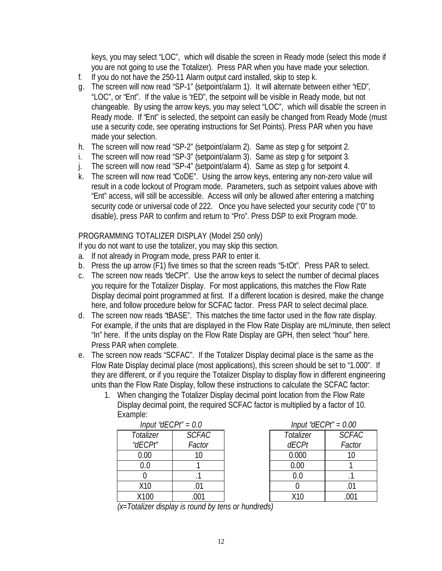keys, you may select "LOC", which will disable the screen in Ready mode (select this mode if you are not going to use the Totalizer). Press PAR when you have made your selection.

- f. If you do not have the 250-11 Alarm output card installed, skip to step k.
- g. The screen will now read "SP-1" (setpoint/alarm 1). It will alternate between either "rED", "LOC", or "Ent". If the value is "rED", the setpoint will be visible in Ready mode, but not changeable. By using the arrow keys, you may select "LOC", which will disable the screen in Ready mode. If "Ent" is selected, the setpoint can easily be changed from Ready Mode (must use a security code, see operating instructions for Set Points). Press PAR when you have made your selection.
- h. The screen will now read "SP-2" (setpoint/alarm 2). Same as step g for setpoint 2.
- i. The screen will now read "SP-3" (setpoint/alarm 3). Same as step g for setpoint 3.
- j. The screen will now read "SP-4" (setpoint/alarm 4). Same as step g for setpoint 4.
- k. The screen will now read "CoDE". Using the arrow keys, entering any non-zero value will result in a code lockout of Program mode. Parameters, such as setpoint values above with "Ent" access, will still be accessible. Access will only be allowed after entering a matching security code or universal code of 222. Once you have selected your security code ("0" to disable), press PAR to confirm and return to "Pro". Press DSP to exit Program mode.

### PROGRAMMING TOTALIZER DISPLAY (Model 250 only)

If you do not want to use the totalizer, you may skip this section.

- a. If not already in Program mode, press PAR to enter it.
- b. Press the up arrow (F1) five times so that the screen reads "5-tOt". Press PAR to select.
- c. The screen now reads "deCPt". Use the arrow keys to select the number of decimal places you require for the Totalizer Display. For most applications, this matches the Flow Rate Display decimal point programmed at first. If a different location is desired, make the change here, and follow procedure below for SCFAC factor. Press PAR to select decimal place.
- d. The screen now reads "tBASE". This matches the time factor used in the flow rate display. For example, if the units that are displayed in the Flow Rate Display are mL/minute, then select "In" here. If the units display on the Flow Rate Display are GPH, then select "hour" here. Press PAR when complete.
- e. The screen now reads "SCFAC". If the Totalizer Display decimal place is the same as the Flow Rate Display decimal place (most applications), this screen should be set to "1.000". If they are different, or if you require the Totalizer Display to display flow in different engineering units than the Flow Rate Display, follow these instructions to calculate the SCFAC factor:
	- 1. When changing the Totalizer Display decimal point location from the Flow Rate Display decimal point, the required SCFAC factor is multiplied by a factor of 10. Example:

| Input "dECPt" = 0.0 |              | Input "dECPt" = 0.00 |                  |
|---------------------|--------------|----------------------|------------------|
| Totalizer           | <b>SCFAC</b> | Totalizer            | SCF <sub>1</sub> |
| "dECPt"             | Factor       | <b>dECPt</b>         | Fact             |
| 0.00                |              | 0.000                | 10               |
| 0.0                 |              | 0.00                 |                  |
|                     |              | 0.0                  |                  |
| X10                 |              |                      |                  |
| X100                | .001         | X10                  | .00 <sup>°</sup> |
|                     |              |                      |                  |

| Input "dECPt" = $0.0$ |              | Input "dECPt" = $0.00$ |              |              |
|-----------------------|--------------|------------------------|--------------|--------------|
| otalizer              | <b>SCFAC</b> |                        | Totalizer    | <b>SCFAC</b> |
| <i>IECPt"</i>         | Factor       |                        | <b>dECPt</b> | Factor       |
| 0.00                  |              |                        | 0.000        |              |
| 0.0                   |              |                        | 0.00         |              |
|                       |              |                        | $0.0\,$      |              |
| X10                   |              |                        |              |              |
| X100                  |              |                        | X10          |              |

*(x=Totalizer display is round by tens or hundreds)*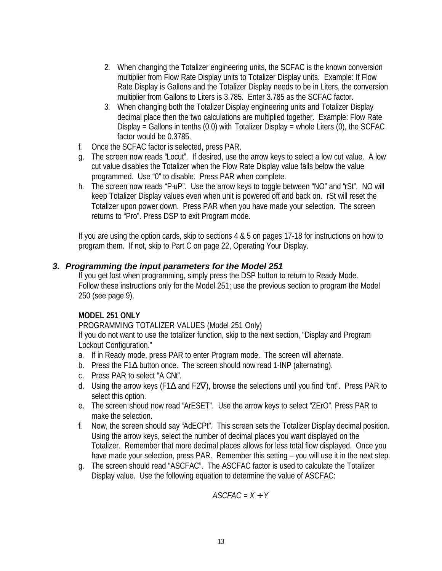- 2. When changing the Totalizer engineering units, the SCFAC is the known conversion multiplier from Flow Rate Display units to Totalizer Display units. Example: If Flow Rate Display is Gallons and the Totalizer Display needs to be in Liters, the conversion multiplier from Gallons to Liters is 3.785. Enter 3.785 as the SCFAC factor.
- 3. When changing both the Totalizer Display engineering units and Totalizer Display decimal place then the two calculations are multiplied together. Example: Flow Rate Display = Gallons in tenths (0.0) with Totalizer Display = whole Liters (0), the SCFAC factor would be 0.3785.
- f. Once the SCFAC factor is selected, press PAR.
- g. The screen now reads "Locut". If desired, use the arrow keys to select a low cut value. A low cut value disables the Totalizer when the Flow Rate Display value falls below the value programmed. Use "0" to disable. Press PAR when complete.
- h. The screen now reads "P-uP". Use the arrow keys to toggle between "NO" and "rSt". NO will keep Totalizer Display values even when unit is powered off and back on. rSt will reset the Totalizer upon power down. Press PAR when you have made your selection. The screen returns to "Pro". Press DSP to exit Program mode.

If you are using the option cards, skip to sections 4 & 5 on pages 17-18 for instructions on how to program them. If not, skip to Part C on page 22, Operating Your Display.

# *3. Programming the input parameters for the Model 251*

If you get lost when programming, simply press the DSP button to return to Ready Mode. Follow these instructions only for the Model 251; use the previous section to program the Model 250 (see page 9).

### **MODEL 251 ONLY**

PROGRAMMING TOTALIZER VALUES (Model 251 Only)

If you do not want to use the totalizer function, skip to the next section, "Display and Program Lockout Configuration."

- a. If in Ready mode, press PAR to enter Program mode. The screen will alternate.
- b. Press the F1Δ button once. The screen should now read 1-INP (alternating).
- c. Press PAR to select "A CNt".
- d. Using the arrow keys (F1Δ and F2∇), browse the selections until you find "cnt". Press PAR to select this option.
- e. The screen shoud now read "ArESET". Use the arrow keys to select "ZErO". Press PAR to make the selection.
- f. Now, the screen should say "AdECPt". This screen sets the Totalizer Display decimal position. Using the arrow keys, select the number of decimal places you want displayed on the Totalizer. Remember that more decimal places allows for less total flow displayed. Once you have made your selection, press PAR. Remember this setting – you will use it in the next step.
- g. The screen should read "ASCFAC". The ASCFAC factor is used to calculate the Totalizer Display value. Use the following equation to determine the value of ASCFAC:

*ASCFAC = X ¸ Y*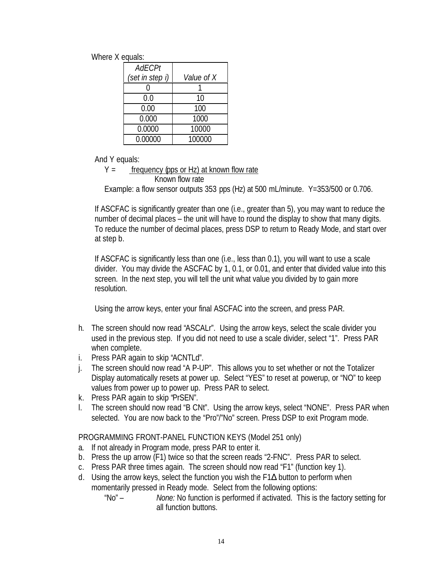Where X equals:

| AdECPt          |            |
|-----------------|------------|
| (set in step i) | Value of X |
|                 |            |
| 0.0             | 10         |
| 0.00            | 100        |
| 0.000           | 1000       |
| 0.0000          | 10000      |
| 0.00000         | 100000     |

And Y equals:

 $Y =$  frequency (pps or Hz) at known flow rate Known flow rate Example: a flow sensor outputs 353 pps (Hz) at 500 mL/minute. Y=353/500 or 0.706.

If ASCFAC is significantly greater than one (i.e., greater than 5), you may want to reduce the number of decimal places – the unit will have to round the display to show that many digits. To reduce the number of decimal places, press DSP to return to Ready Mode, and start over at step b.

If ASCFAC is significantly less than one (i.e., less than 0.1), you will want to use a scale divider. You may divide the ASCFAC by 1, 0.1, or 0.01, and enter that divided value into this screen. In the next step, you will tell the unit what value you divided by to gain more resolution.

Using the arrow keys, enter your final ASCFAC into the screen, and press PAR.

- h. The screen should now read "ASCALr". Using the arrow keys, select the scale divider you used in the previous step. If you did not need to use a scale divider, select "1". Press PAR when complete.
- i. Press PAR again to skip "ACNTLd".
- j. The screen should now read "A P-UP". This allows you to set whether or not the Totalizer Display automatically resets at power up. Select "YES" to reset at powerup, or "NO" to keep values from power up to power up. Press PAR to select.
- k. Press PAR again to skip "PrSEN".
- l. The screen should now read "B CNt". Using the arrow keys, select "NONE". Press PAR when selected. You are now back to the "Pro"/"No" screen. Press DSP to exit Program mode.

PROGRAMMING FRONT-PANEL FUNCTION KEYS (Model 251 only)

- a. If not already in Program mode, press PAR to enter it.
- b. Press the up arrow (F1) twice so that the screen reads "2-FNC". Press PAR to select.
- c. Press PAR three times again. The screen should now read "F1" (function key 1).
- d. Using the arrow keys, select the function you wish the F1Δ button to perform when momentarily pressed in Ready mode. Select from the following options:
	- "No" *None:* No function is performed if activated. This is the factory setting for all function buttons.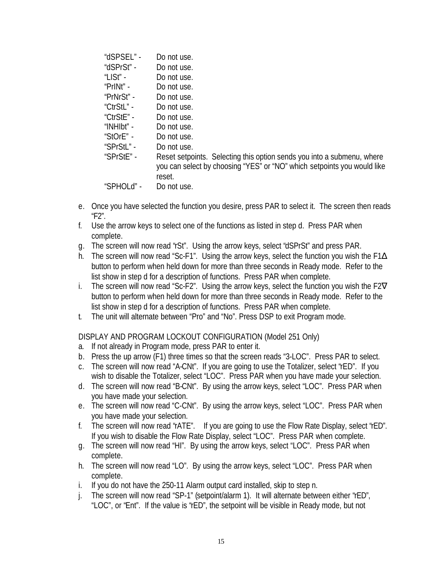| "dSPSEL" - | Do not use.                                                             |
|------------|-------------------------------------------------------------------------|
| "dSPrSt" - | Do not use.                                                             |
| "LISt" -   | Do not use.                                                             |
| "PrINt" -  | Do not use.                                                             |
| "PrNrSt" - | Do not use.                                                             |
| "CtrStL" - | Do not use.                                                             |
| "CtrStE" - | Do not use.                                                             |
| "INHIbt" - | Do not use.                                                             |
| "StOrE" -  | Do not use.                                                             |
| "SPrStL" - | Do not use.                                                             |
| "SPrStE" - | Reset setpoints. Selecting this option sends you into a submenu, where  |
|            | you can select by choosing "YES" or "NO" which setpoints you would like |
|            | reset.                                                                  |
| "SPHOLd" - | Do not use.                                                             |
|            |                                                                         |

- e. Once you have selected the function you desire, press PAR to select it. The screen then reads "F2".
- f. Use the arrow keys to select one of the functions as listed in step d. Press PAR when complete.
- g. The screen will now read "rSt". Using the arrow keys, select "dSPrSt" and press PAR.
- h. The screen will now read "Sc-F1". Using the arrow keys, select the function you wish the F1Δ button to perform when held down for more than three seconds in Ready mode. Refer to the list show in step d for a description of functions. Press PAR when complete.
- i. The screen will now read "Sc-F2". Using the arrow keys, select the function you wish the F2 $\nabla$ button to perform when held down for more than three seconds in Ready mode. Refer to the list show in step d for a description of functions. Press PAR when complete.
- t. The unit will alternate between "Pro" and "No". Press DSP to exit Program mode.

DISPLAY AND PROGRAM LOCKOUT CONFIGURATION (Model 251 Only)

- a. If not already in Program mode, press PAR to enter it.
- b. Press the up arrow (F1) three times so that the screen reads "3-LOC". Press PAR to select.
- c. The screen will now read "A-CNt". If you are going to use the Totalizer, select "rED". If you wish to disable the Totalizer, select "LOC". Press PAR when you have made your selection.
- d. The screen will now read "B-CNt". By using the arrow keys, select "LOC". Press PAR when you have made your selection.
- e. The screen will now read "C-CNt". By using the arrow keys, select "LOC". Press PAR when you have made your selection.
- f. The screen will now read "rATE". If you are going to use the Flow Rate Display, select "rED". If you wish to disable the Flow Rate Display, select "LOC". Press PAR when complete.
- g. The screen will now read "HI". By using the arrow keys, select "LOC". Press PAR when complete.
- h. The screen will now read "LO". By using the arrow keys, select "LOC". Press PAR when complete.
- i. If you do not have the 250-11 Alarm output card installed, skip to step n.
- j. The screen will now read "SP-1" (setpoint/alarm 1). It will alternate between either "rED", "LOC", or "Ent". If the value is "rED", the setpoint will be visible in Ready mode, but not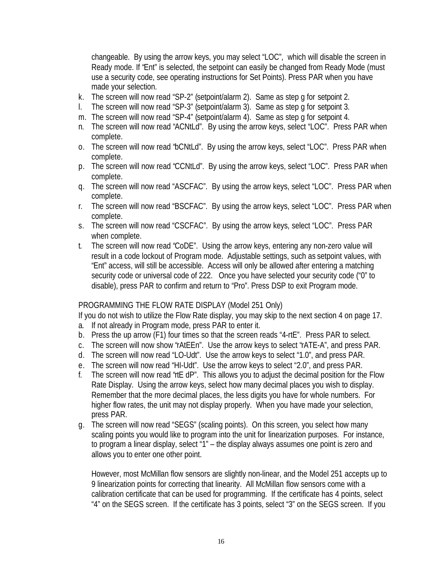changeable. By using the arrow keys, you may select "LOC", which will disable the screen in Ready mode. If "Ent" is selected, the setpoint can easily be changed from Ready Mode (must use a security code, see operating instructions for Set Points). Press PAR when you have made your selection.

- k. The screen will now read "SP-2" (setpoint/alarm 2). Same as step g for setpoint 2.
- l. The screen will now read "SP-3" (setpoint/alarm 3). Same as step g for setpoint 3.
- m. The screen will now read "SP-4" (setpoint/alarm 4). Same as step g for setpoint 4.
- n. The screen will now read "ACNtLd". By using the arrow keys, select "LOC". Press PAR when complete.
- o. The screen will now read "bCNtLd". By using the arrow keys, select "LOC". Press PAR when complete.
- p. The screen will now read "CCNtLd". By using the arrow keys, select "LOC". Press PAR when complete.
- q. The screen will now read "ASCFAC". By using the arrow keys, select "LOC". Press PAR when complete.
- r. The screen will now read "BSCFAC". By using the arrow keys, select "LOC". Press PAR when complete.
- s. The screen will now read "CSCFAC". By using the arrow keys, select "LOC". Press PAR when complete.
- t. The screen will now read "CoDE". Using the arrow keys, entering any non-zero value will result in a code lockout of Program mode. Adjustable settings, such as setpoint values, with "Ent" access, will still be accessible. Access will only be allowed after entering a matching security code or universal code of 222. Once you have selected your security code ("0" to disable), press PAR to confirm and return to "Pro". Press DSP to exit Program mode.

### PROGRAMMING THE FLOW RATE DISPLAY (Model 251 Only)

If you do not wish to utilize the Flow Rate display, you may skip to the next section 4 on page 17.

- a. If not already in Program mode, press PAR to enter it.
- b. Press the up arrow (F1) four times so that the screen reads "4-rtE". Press PAR to select.
- c. The screen will now show "rAtEEn". Use the arrow keys to select "rATE-A", and press PAR.
- d. The screen will now read "LO-Udt". Use the arrow keys to select "1.0", and press PAR.
- e. The screen will now read "HI-Udt". Use the arrow keys to select "2.0", and press PAR.
- f. The screen will now read "rtE dP". This allows you to adjust the decimal position for the Flow Rate Display. Using the arrow keys, select how many decimal places you wish to display. Remember that the more decimal places, the less digits you have for whole numbers. For higher flow rates, the unit may not display properly. When you have made your selection, press PAR.
- g. The screen will now read "SEGS" (scaling points). On this screen, you select how many scaling points you would like to program into the unit for linearization purposes. For instance, to program a linear display, select "1" – the display always assumes one point is zero and allows you to enter one other point.

However, most McMillan flow sensors are slightly non-linear, and the Model 251 accepts up to 9 linearization points for correcting that linearity. All McMillan flow sensors come with a calibration certificate that can be used for programming. If the certificate has 4 points, select "4" on the SEGS screen. If the certificate has 3 points, select "3" on the SEGS screen. If you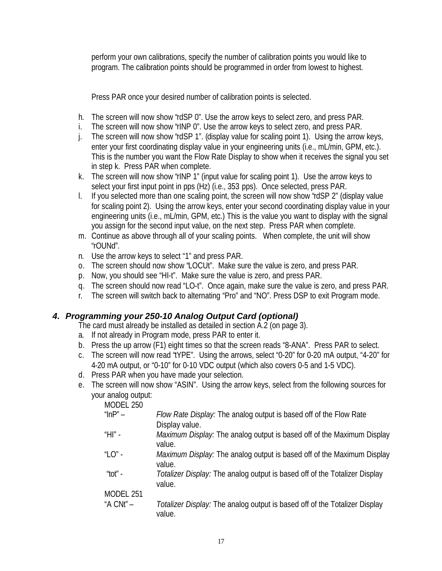perform your own calibrations, specify the number of calibration points you would like to program. The calibration points should be programmed in order from lowest to highest.

Press PAR once your desired number of calibration points is selected.

- h. The screen will now show "rdSP 0". Use the arrow keys to select zero, and press PAR.
- i. The screen will now show "rINP 0". Use the arrow keys to select zero, and press PAR.
- j. The screen will now show "rdSP 1". (display value for scaling point 1). Using the arrow keys, enter your first coordinating display value in your engineering units (i.e., mL/min, GPM, etc.). This is the number you want the Flow Rate Display to show when it receives the signal you set in step k. Press PAR when complete.
- k. The screen will now show "rINP 1" (input value for scaling point 1). Use the arrow keys to select your first input point in pps (Hz) (i.e., 353 pps). Once selected, press PAR.
- l. If you selected more than one scaling point, the screen will now show "rdSP 2" (display value for scaling point 2). Using the arrow keys, enter your second coordinating display value in your engineering units (i.e., mL/min, GPM, etc.) This is the value you want to display with the signal you assign for the second input value, on the next step. Press PAR when complete.
- m. Continue as above through all of your scaling points. When complete, the unit will show "rOUNd".
- n. Use the arrow keys to select "1" and press PAR.
- o. The screen should now show "LOCUt". Make sure the value is zero, and press PAR.
- p. Now, you should see "HI-t". Make sure the value is zero, and press PAR.
- q. The screen should now read "LO-t". Once again, make sure the value is zero, and press PAR.
- r. The screen will switch back to alternating "Pro" and "NO". Press DSP to exit Program mode.

# *4. Programming your 250-10 Analog Output Card (optional)*

The card must already be installed as detailed in section A.2 (on page 3).

- a. If not already in Program mode, press PAR to enter it.
- b. Press the up arrow (F1) eight times so that the screen reads "8-ANA". Press PAR to select.
- c. The screen will now read "tYPE". Using the arrows, select "0-20" for 0-20 mA output, "4-20" for 4-20 mA output, or "0-10" for 0-10 VDC output (which also covers 0-5 and 1-5 VDC).
- d. Press PAR when you have made your selection.
- e. The screen will now show "ASIN". Using the arrow keys, select from the following sources for your analog output:

| Flow Rate Display: The analog output is based off of the Flow Rate                      |
|-----------------------------------------------------------------------------------------|
| Display value.                                                                          |
| Maximum Display: The analog output is based off of the Maximum Display<br>value.        |
| <i>Maximum Display:</i> The analog output is based off of the Maximum Display<br>value. |
| Totalizer Display: The analog output is based off of the Totalizer Display<br>value.    |
|                                                                                         |
| Totalizer Display: The analog output is based off of the Totalizer Display<br>value.    |
|                                                                                         |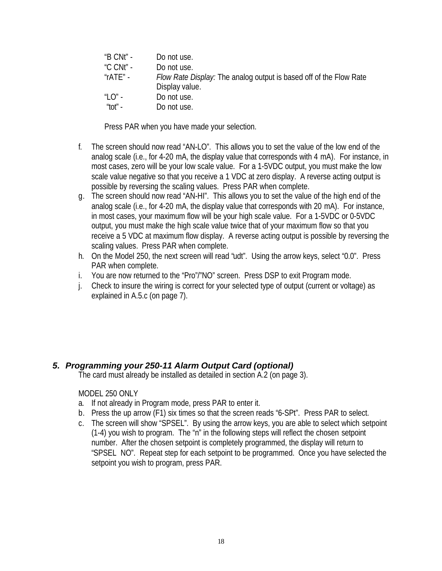| "B CNt" -          | Do not use.                                                                                 |
|--------------------|---------------------------------------------------------------------------------------------|
| "C CNt" -          | Do not use.                                                                                 |
| "rATE" -           | <i>Flow Rate Display:</i> The analog output is based off of the Flow Rate<br>Display value. |
| "I O" -<br>"tot" - | Do not use.<br>Do not use.                                                                  |

Press PAR when you have made your selection.

- f. The screen should now read "AN-LO". This allows you to set the value of the low end of the analog scale (i.e., for 4-20 mA, the display value that corresponds with 4 mA). For instance, in most cases, zero will be your low scale value. For a 1-5VDC output, you must make the low scale value negative so that you receive a 1 VDC at zero display. A reverse acting output is possible by reversing the scaling values. Press PAR when complete.
- g. The screen should now read "AN-HI". This allows you to set the value of the high end of the analog scale (i.e., for 4-20 mA, the display value that corresponds with 20 mA). For instance, in most cases, your maximum flow will be your high scale value. For a 1-5VDC or 0-5VDC output, you must make the high scale value twice that of your maximum flow so that you receive a 5 VDC at maximum flow display. A reverse acting output is possible by reversing the scaling values. Press PAR when complete.
- h. On the Model 250, the next screen will read "udt". Using the arrow keys, select "0.0". Press PAR when complete.
- i. You are now returned to the "Pro"/"NO" screen. Press DSP to exit Program mode.
- j. Check to insure the wiring is correct for your selected type of output (current or voltage) as explained in A.5.c (on page 7).

# *5. Programming your 250-11 Alarm Output Card (optional)*

The card must already be installed as detailed in section A.2 (on page 3).

### MODEL 250 ONLY

- a. If not already in Program mode, press PAR to enter it.
- b. Press the up arrow (F1) six times so that the screen reads "6-SPt". Press PAR to select.
- c. The screen will show "SPSEL". By using the arrow keys, you are able to select which setpoint (1-4) you wish to program. The "n" in the following steps will reflect the chosen setpoint number. After the chosen setpoint is completely programmed, the display will return to "SPSEL NO". Repeat step for each setpoint to be programmed. Once you have selected the setpoint you wish to program, press PAR.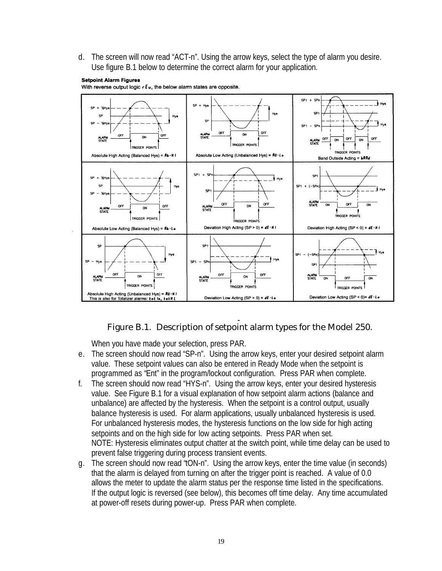d. The screen will now read "ACT-n". Using the arrow keys, select the type of alarm you desire. Use figure B.1 below to determine the correct alarm for your application.



#### **Setpoint Alarm Figures** With reverse output logic  $rE$ u, the below alarm states are opposite.

#### Figure B.1. Description of setpoint alarm types for the Model 250.

When you have made your selection, press PAR.

- e. The screen should now read "SP-n". Using the arrow keys, enter your desired setpoint alarm value. These setpoint values can also be entered in Ready Mode when the setpoint is programmed as "Ent" in the program/lockout configuration. Press PAR when complete.
- f. The screen should now read "HYS-n". Using the arrow keys, enter your desired hysteresis value. See Figure B.1 for a visual explanation of how setpoint alarm actions (balance and unbalance) are affected by the hysteresis. When the setpoint is a control output, usually balance hysteresis is used. For alarm applications, usually unbalanced hysteresis is used. For unbalanced hysteresis modes, the hysteresis functions on the low side for high acting setpoints and on the high side for low acting setpoints. Press PAR when set. NOTE: Hysteresis eliminates output chatter at the switch point, while time delay can be used to prevent false triggering during process transient events.
- g. The screen should now read "tON-n". Using the arrow keys, enter the time value (in seconds) that the alarm is delayed from turning on after the trigger point is reached. A value of 0.0 allows the meter to update the alarm status per the response time listed in the specifications. If the output logic is reversed (see below), this becomes off time delay. Any time accumulated at power-off resets during power-up. Press PAR when complete.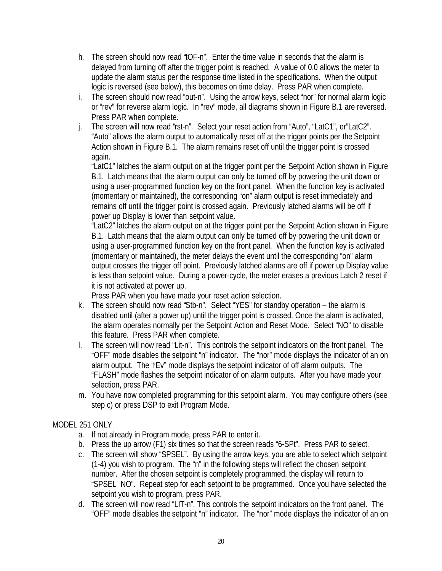- h. The screen should now read "tOF-n". Enter the time value in seconds that the alarm is delayed from turning off after the trigger point is reached. A value of 0.0 allows the meter to update the alarm status per the response time listed in the specifications. When the output logic is reversed (see below), this becomes on time delay. Press PAR when complete.
- i. The screen should now read "out-n". Using the arrow keys, select "nor" for normal alarm logic or "rev" for reverse alarm logic. In "rev" mode, all diagrams shown in Figure B.1 are reversed. Press PAR when complete.
- j. The screen will now read "rst-n". Select your reset action from "Auto", "LatC1", or"LatC2". "Auto" allows the alarm output to automatically reset off at the trigger points per the Setpoint Action shown in Figure B.1. The alarm remains reset off until the trigger point is crossed again.

"LatC1" latches the alarm output on at the trigger point per the Setpoint Action shown in Figure B.1. Latch means that the alarm output can only be turned off by powering the unit down or using a user-programmed function key on the front panel. When the function key is activated (momentary or maintained), the corresponding "on" alarm output is reset immediately and remains off until the trigger point is crossed again. Previously latched alarms will be off if power up Display is lower than setpoint value.

"LatC2" latches the alarm output on at the trigger point per the Setpoint Action shown in Figure B.1. Latch means that the alarm output can only be turned off by powering the unit down or using a user-programmed function key on the front panel. When the function key is activated (momentary or maintained), the meter delays the event until the corresponding "on" alarm output crosses the trigger off point. Previously latched alarms are off if power up Display value is less than setpoint value. During a power-cycle, the meter erases a previous Latch 2 reset if it is not activated at power up.

Press PAR when you have made your reset action selection.

- k. The screen should now read "Stb-n". Select "YES" for standby operation the alarm is disabled until (after a power up) until the trigger point is crossed. Once the alarm is activated, the alarm operates normally per the Setpoint Action and Reset Mode. Select "NO" to disable this feature. Press PAR when complete.
- l. The screen will now read "Lit-n". This controls the setpoint indicators on the front panel. The "OFF" mode disables the setpoint "n" indicator. The "nor" mode displays the indicator of an on alarm output. The "rEv" mode displays the setpoint indicator of off alarm outputs. The "FLASH" mode flashes the setpoint indicator of on alarm outputs. After you have made your selection, press PAR.
- m. You have now completed programming for this setpoint alarm. You may configure others (see step c) or press DSP to exit Program Mode.

# MODEL 251 ONLY

- a. If not already in Program mode, press PAR to enter it.
- b. Press the up arrow (F1) six times so that the screen reads "6-SPt". Press PAR to select.
- c. The screen will show "SPSEL". By using the arrow keys, you are able to select which setpoint (1-4) you wish to program. The "n" in the following steps will reflect the chosen setpoint number. After the chosen setpoint is completely programmed, the display will return to "SPSEL NO". Repeat step for each setpoint to be programmed. Once you have selected the setpoint you wish to program, press PAR.
- d. The screen will now read "LIT-n". This controls the setpoint indicators on the front panel. The "OFF" mode disables the setpoint "n" indicator. The "nor" mode displays the indicator of an on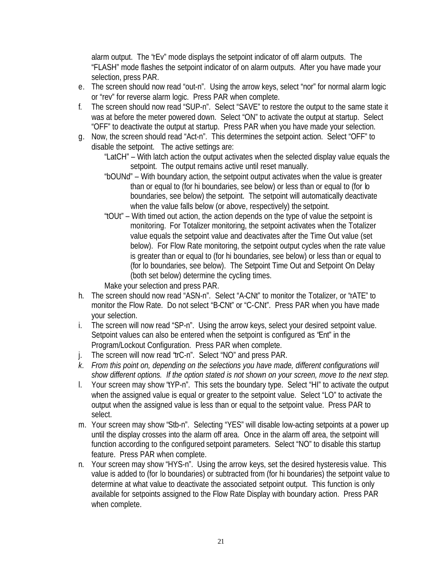alarm output. The "rEv" mode displays the setpoint indicator of off alarm outputs. The "FLASH" mode flashes the setpoint indicator of on alarm outputs. After you have made your selection, press PAR.

- e. The screen should now read "out-n". Using the arrow keys, select "nor" for normal alarm logic or "rev" for reverse alarm logic. Press PAR when complete.
- f. The screen should now read "SUP-n". Select "SAVE" to restore the output to the same state it was at before the meter powered down. Select "ON" to activate the output at startup. Select "OFF" to deactivate the output at startup. Press PAR when you have made your selection.
- g. Now, the screen should read "Act-n". This determines the setpoint action. Select "OFF" to disable the setpoint. The active settings are:

"LatCH" – With latch action the output activates when the selected display value equals the setpoint. The output remains active until reset manually.

- "bOUNd" With boundary action, the setpoint output activates when the value is greater than or equal to (for hi boundaries, see below) or less than or equal to (for lo boundaries, see below) the setpoint. The setpoint will automatically deactivate when the value falls below (or above, respectively) the setpoint.
- "tOUt" With timed out action, the action depends on the type of value the setpoint is monitoring. For Totalizer monitoring, the setpoint activates when the Totalizer value equals the setpoint value and deactivates after the Time Out value (set below). For Flow Rate monitoring, the setpoint output cycles when the rate value is greater than or equal to (for hi boundaries, see below) or less than or equal to (for lo boundaries, see below). The Setpoint Time Out and Setpoint On Delay (both set below) determine the cycling times.

Make your selection and press PAR.

- h. The screen should now read "ASN-n". Select "A-CNt" to monitor the Totalizer, or "rATE" to monitor the Flow Rate. Do not select "B-CNt" or "C-CNt". Press PAR when you have made your selection.
- i. The screen will now read "SP-n". Using the arrow keys, select your desired setpoint value. Setpoint values can also be entered when the setpoint is configured as "Ent" in the Program/Lockout Configuration. Press PAR when complete.
- j. The screen will now read "trC-n". Select "NO" and press PAR.
- *k. From this point on, depending on the selections you have made, different configurations will show different options. If the option stated is not shown on your screen, move to the next step.*
- l. Your screen may show "tYP-n". This sets the boundary type. Select "HI" to activate the output when the assigned value is equal or greater to the setpoint value. Select "LO" to activate the output when the assigned value is less than or equal to the setpoint value. Press PAR to select.
- m. Your screen may show "Stb-n". Selecting "YES" will disable low-acting setpoints at a power up until the display crosses into the alarm off area. Once in the alarm off area, the setpoint will function according to the configured setpoint parameters. Select "NO" to disable this startup feature. Press PAR when complete.
- n. Your screen may show "HYS-n". Using the arrow keys, set the desired hysteresis value. This value is added to (for lo boundaries) or subtracted from (for hi boundaries) the setpoint value to determine at what value to deactivate the associated setpoint output. This function is only available for setpoints assigned to the Flow Rate Display with boundary action. Press PAR when complete.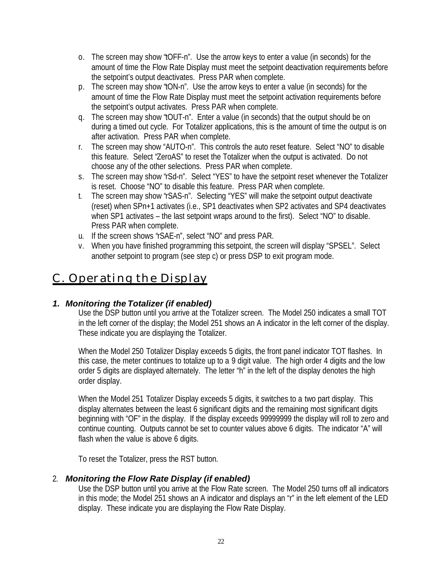- o. The screen may show "tOFF-n". Use the arrow keys to enter a value (in seconds) for the amount of time the Flow Rate Display must meet the setpoint deactivation requirements before the setpoint's output deactivates. Press PAR when complete.
- p. The screen may show "tON-n". Use the arrow keys to enter a value (in seconds) for the amount of time the Flow Rate Display must meet the setpoint activation requirements before the setpoint's output activates. Press PAR when complete.
- q. The screen may show "tOUT-n". Enter a value (in seconds) that the output should be on during a timed out cycle. For Totalizer applications, this is the amount of time the output is on after activation. Press PAR when complete.
- r. The screen may show "AUTO-n". This controls the auto reset feature. Select "NO" to disable this feature. Select "ZeroAS" to reset the Totalizer when the output is activated. Do not choose any of the other selections. Press PAR when complete.
- s. The screen may show "rSd-n". Select "YES" to have the setpoint reset whenever the Totalizer is reset. Choose "NO" to disable this feature. Press PAR when complete.
- t. The screen may show "rSAS-n". Selecting "YES" will make the setpoint output deactivate (reset) when SPn+1 activates (i.e., SP1 deactivates when SP2 activates and SP4 deactivates when SP1 activates – the last setpoint wraps around to the first). Select "NO" to disable. Press PAR when complete.
- u. If the screen shows "rSAE-n", select "NO" and press PAR.
- v. When you have finished programming this setpoint, the screen will display "SPSEL". Select another setpoint to program (see step c) or press DSP to exit program mode.

# C. Operating the Display

# *1. Monitoring the Totalizer (if enabled)*

Use the DSP button until you arrive at the Totalizer screen. The Model 250 indicates a small TOT in the left corner of the display; the Model 251 shows an A indicator in the left corner of the display. These indicate you are displaying the Totalizer.

When the Model 250 Totalizer Display exceeds 5 digits, the front panel indicator TOT flashes. In this case, the meter continues to totalize up to a 9 digit value. The high order 4 digits and the low order 5 digits are displayed alternately. The letter "h" in the left of the display denotes the high order display.

When the Model 251 Totalizer Display exceeds 5 digits, it switches to a two part display. This display alternates between the least 6 significant digits and the remaining most significant digits beginning with "OF" in the display. If the display exceeds 99999999 the display will roll to zero and continue counting. Outputs cannot be set to counter values above 6 digits. The indicator "A" will flash when the value is above 6 digits.

To reset the Totalizer, press the RST button.

# 2. *Monitoring the Flow Rate Display (if enabled)*

Use the DSP button until you arrive at the Flow Rate screen. The Model 250 turns off all indicators in this mode; the Model 251 shows an A indicator and displays an "r" in the left element of the LED display. These indicate you are displaying the Flow Rate Display.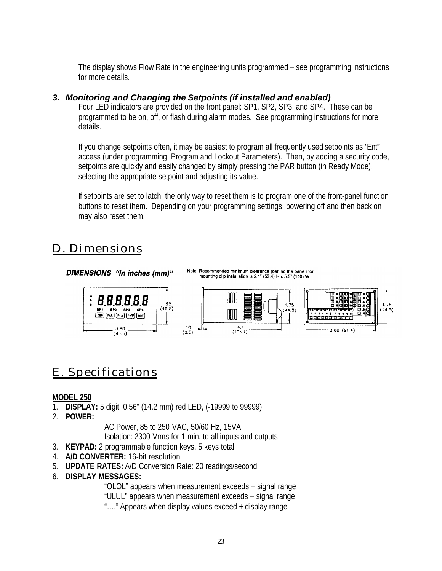The display shows Flow Rate in the engineering units programmed – see programming instructions for more details.

# *3. Monitoring and Changing the Setpoints (if installed and enabled)*

Four LED indicators are provided on the front panel: SP1, SP2, SP3, and SP4. These can be programmed to be on, off, or flash during alarm modes. See programming instructions for more details.

If you change setpoints often, it may be easiest to program all frequently used setpoints as "Ent" access (under programming, Program and Lockout Parameters). Then, by adding a security code, setpoints are quickly and easily changed by simply pressing the PAR button (in Ready Mode), selecting the appropriate setpoint and adjusting its value.

If setpoints are set to latch, the only way to reset them is to program one of the front-panel function buttons to reset them. Depending on your programming settings, powering off and then back on may also reset them.

# D. Dimensions

DIMENSIONS "In inches (mm)"

Note: Recommended minimum clearance (behind the panel) for<br>mounting clip installation is 2.1" (53.4) H x 5.5" (140) W.



# E. Specifications

### **MODEL 250**

- 1. **DISPLAY:** 5 digit, 0.56" (14.2 mm) red LED, (-19999 to 99999)
- 2. **POWER:**

AC Power, 85 to 250 VAC, 50/60 Hz, 15VA. Isolation: 2300 Vrms for 1 min. to all inputs and outputs

- 3. **KEYPAD:** 2 programmable function keys, 5 keys total
- 4. **A/D CONVERTER:** 16-bit resolution
- 5. **UPDATE RATES:** A/D Conversion Rate: 20 readings/second
- 6. **DISPLAY MESSAGES:**

"OLOL" appears when measurement exceeds + signal range

"ULUL" appears when measurement exceeds – signal range

"…." Appears when display values exceed + display range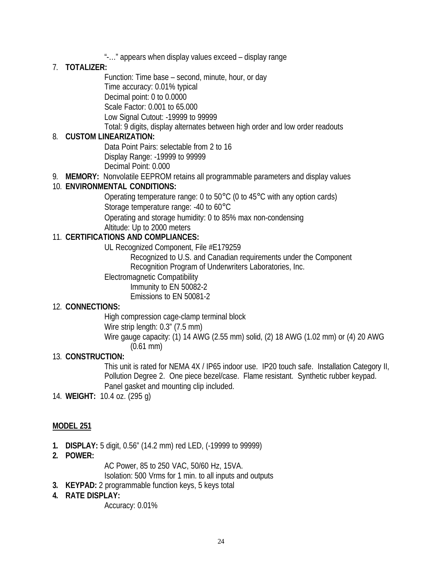"-…" appears when display values exceed – display range

# 7. **TOTALIZER:**

Function: Time base – second, minute, hour, or day Time accuracy: 0.01% typical Decimal point: 0 to 0.0000 Scale Factor: 0.001 to 65.000 Low Signal Cutout: -19999 to 99999 Total: 9 digits, display alternates between high order and low order readouts

### 8. **CUSTOM LINEARIZATION:**

Data Point Pairs: selectable from 2 to 16 Display Range: -19999 to 99999 Decimal Point: 0.000

9. **MEMORY:** Nonvolatile EEPROM retains all programmable parameters and display values

# 10. **ENVIRONMENTAL CONDITIONS:**

Operating temperature range: 0 to 50°C (0 to 45°C with any option cards) Storage temperature range: -40 to 60°C

Operating and storage humidity: 0 to 85% max non-condensing Altitude: Up to 2000 meters

# 11. **CERTIFICATIONS AND COMPLIANCES:**

UL Recognized Component, File #E179259

Recognized to U.S. and Canadian requirements under the Component Recognition Program of Underwriters Laboratories, Inc.

Electromagnetic Compatibility

Immunity to EN 50082-2 Emissions to EN 50081-2

### 12. **CONNECTIONS:**

High compression cage-clamp terminal block Wire strip length: 0.3" (7.5 mm)

Wire gauge capacity: (1) 14 AWG (2.55 mm) solid, (2) 18 AWG (1.02 mm) or (4) 20 AWG (0.61 mm)

### 13. **CONSTRUCTION:**

This unit is rated for NEMA 4X / IP65 indoor use. IP20 touch safe. Installation Category II, Pollution Degree 2. One piece bezel/case. Flame resistant. Synthetic rubber keypad. Panel gasket and mounting clip included.

14. **WEIGHT:** 10.4 oz. (295 g)

# **MODEL 251**

- **1. DISPLAY:** 5 digit, 0.56" (14.2 mm) red LED, (-19999 to 99999)
- **2. POWER:**

AC Power, 85 to 250 VAC, 50/60 Hz, 15VA. Isolation: 500 Vrms for 1 min. to all inputs and outputs

**3. KEYPAD:** 2 programmable function keys, 5 keys total

### **4. RATE DISPLAY:**

Accuracy: 0.01%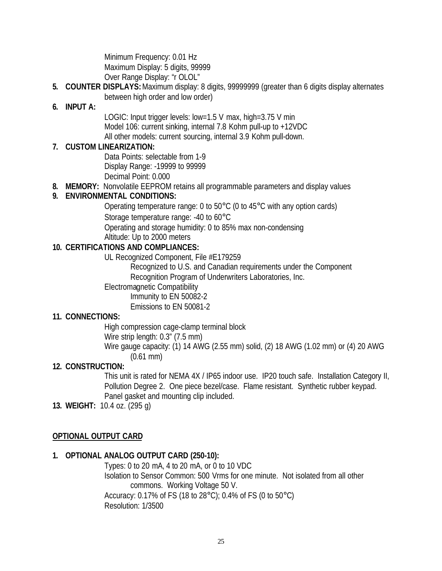Minimum Frequency: 0.01 Hz Maximum Display: 5 digits, 99999 Over Range Display: "r OLOL"

**5. COUNTER DISPLAYS:** Maximum display: 8 digits, 99999999 (greater than 6 digits display alternates between high order and low order)

### **6. INPUT A:**

LOGIC: Input trigger levels: low=1.5 V max, high=3.75 V min Model 106: current sinking, internal 7.8 Kohm pull-up to +12VDC All other models: current sourcing, internal 3.9 Kohm pull-down.

# **7. CUSTOM LINEARIZATION:**

Data Points: selectable from 1-9 Display Range: -19999 to 99999 Decimal Point: 0.000

**8. MEMORY:** Nonvolatile EEPROM retains all programmable parameters and display values

### **9. ENVIRONMENTAL CONDITIONS:**

Operating temperature range: 0 to 50°C (0 to 45°C with any option cards) Storage temperature range: -40 to 60°C

Operating and storage humidity: 0 to 85% max non-condensing Altitude: Up to 2000 meters

# **10. CERTIFICATIONS AND COMPLIANCES:**

UL Recognized Component, File #E179259

Recognized to U.S. and Canadian requirements under the Component Recognition Program of Underwriters Laboratories, Inc.

Electromagnetic Compatibility

Immunity to EN 50082-2

Emissions to EN 50081-2

### **11. CONNECTIONS:**

High compression cage-clamp terminal block Wire strip length: 0.3" (7.5 mm) Wire gauge capacity: (1) 14 AWG (2.55 mm) solid, (2) 18 AWG (1.02 mm) or (4) 20 AWG (0.61 mm)

### **12. CONSTRUCTION:**

This unit is rated for NEMA 4X / IP65 indoor use. IP20 touch safe. Installation Category II, Pollution Degree 2. One piece bezel/case. Flame resistant. Synthetic rubber keypad. Panel gasket and mounting clip included.

**13. WEIGHT:** 10.4 oz. (295 g)

### **OPTIONAL OUTPUT CARD**

### **1. OPTIONAL ANALOG OUTPUT CARD (250-10):**

Types: 0 to 20 mA, 4 to 20 mA, or 0 to 10 VDC Isolation to Sensor Common: 500 Vrms for one minute. Not isolated from all other commons. Working Voltage 50 V. Accuracy: 0.17% of FS (18 to 28°C); 0.4% of FS (0 to 50°C) Resolution: 1/3500